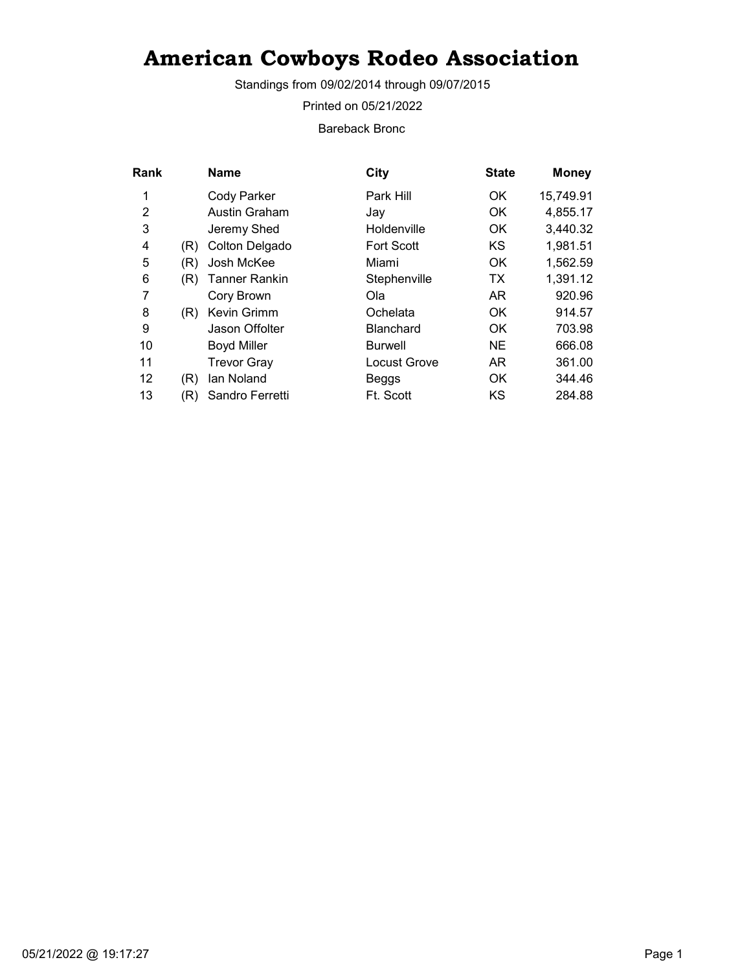Standings from 09/02/2014 through 09/07/2015

Printed on 05/21/2022

Bareback Bronc

| Rank |     | <b>Name</b>          | City                | <b>State</b> | <b>Money</b> |
|------|-----|----------------------|---------------------|--------------|--------------|
| 1    |     | <b>Cody Parker</b>   | Park Hill           | OK.          | 15,749.91    |
| 2    |     | <b>Austin Graham</b> | Jav                 | <b>OK</b>    | 4,855.17     |
| 3    |     | Jeremy Shed          | Holdenville         | <b>OK</b>    | 3,440.32     |
| 4    | (R) | Colton Delgado       | <b>Fort Scott</b>   | KS           | 1,981.51     |
| 5    | (R) | Josh McKee           | Miami               | 0K           | 1,562.59     |
| 6    | (R) | Tanner Rankin        | Stephenville        | ТX           | 1,391.12     |
| 7    |     | Cory Brown           | Ola                 | AR           | 920.96       |
| 8    | (R) | Kevin Grimm          | Ochelata            | <b>OK</b>    | 914.57       |
| 9    |     | Jason Offolter       | <b>Blanchard</b>    | OK.          | 703.98       |
| 10   |     | <b>Boyd Miller</b>   | <b>Burwell</b>      | <b>NE</b>    | 666.08       |
| 11   |     | <b>Trevor Gray</b>   | <b>Locust Grove</b> | AR           | 361.00       |
| 12   | (R) | lan Noland           | Beggs               | OK           | 344.46       |
| 13   | (R) | Sandro Ferretti      | Ft. Scott           | KS           | 284.88       |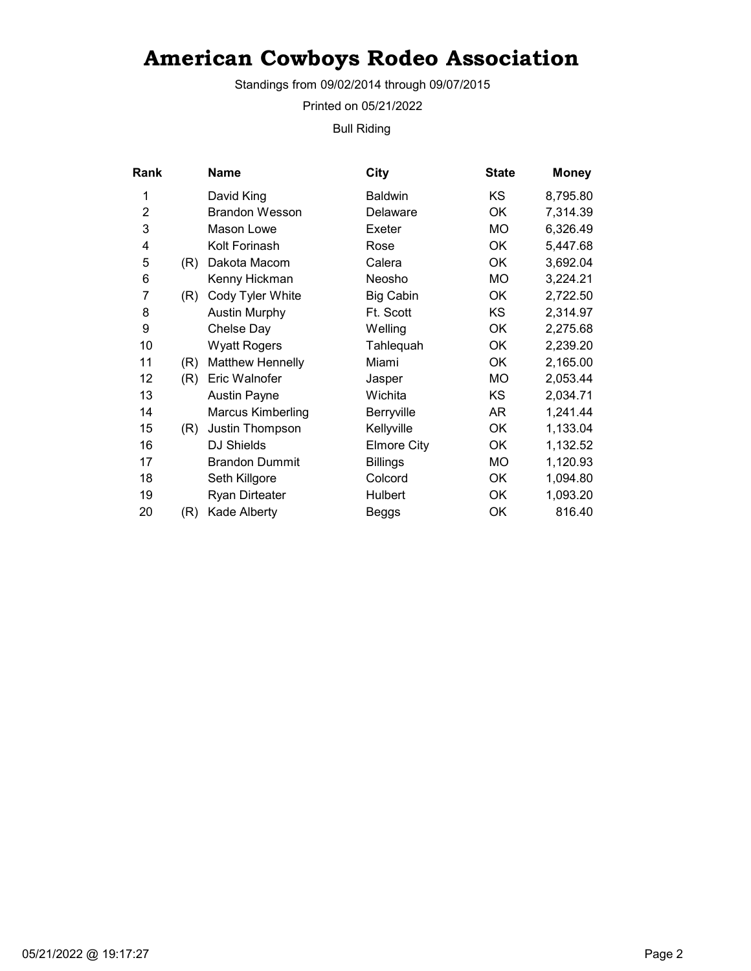Standings from 09/02/2014 through 09/07/2015

Printed on 05/21/2022

Bull Riding

| Rank           |     | <b>Name</b>              | City               | <b>State</b> | <b>Money</b> |
|----------------|-----|--------------------------|--------------------|--------------|--------------|
| 1              |     | David King               | <b>Baldwin</b>     | KS           | 8,795.80     |
| $\overline{2}$ |     | <b>Brandon Wesson</b>    | Delaware           | OK           | 7,314.39     |
| 3              |     | Mason Lowe               | Exeter             | MO           | 6,326.49     |
| 4              |     | Kolt Forinash            | Rose               | ОK           | 5,447.68     |
| 5              | (R) | Dakota Macom             | Calera             | <b>OK</b>    | 3,692.04     |
| 6              |     | Kenny Hickman            | Neosho             | MO.          | 3,224.21     |
| $\overline{7}$ | (R) | Cody Tyler White         | <b>Big Cabin</b>   | OK           | 2,722.50     |
| 8              |     | <b>Austin Murphy</b>     | Ft. Scott          | <b>KS</b>    | 2,314.97     |
| 9              |     | Chelse Day               | Welling            | OK           | 2,275.68     |
| 10             |     | <b>Wyatt Rogers</b>      | Tahlequah          | ОK           | 2,239.20     |
| 11             | (R) | <b>Matthew Hennelly</b>  | Miami              | OK           | 2,165.00     |
| 12             | (R) | Eric Walnofer            | Jasper             | МO           | 2,053.44     |
| 13             |     | <b>Austin Payne</b>      | Wichita            | KS           | 2,034.71     |
| 14             |     | <b>Marcus Kimberling</b> | Berryville         | AR           | 1,241.44     |
| 15             | (R) | Justin Thompson          | Kellyville         | OK           | 1,133.04     |
| 16             |     | DJ Shields               | <b>Elmore City</b> | OK           | 1,132.52     |
| 17             |     | <b>Brandon Dummit</b>    | <b>Billings</b>    | МO           | 1,120.93     |
| 18             |     | Seth Killgore            | Colcord            | OK           | 1,094.80     |
| 19             |     | <b>Ryan Dirteater</b>    | Hulbert            | OK           | 1,093.20     |
| 20             | (R) | Kade Alberty             | Beggs              | OK           | 816.40       |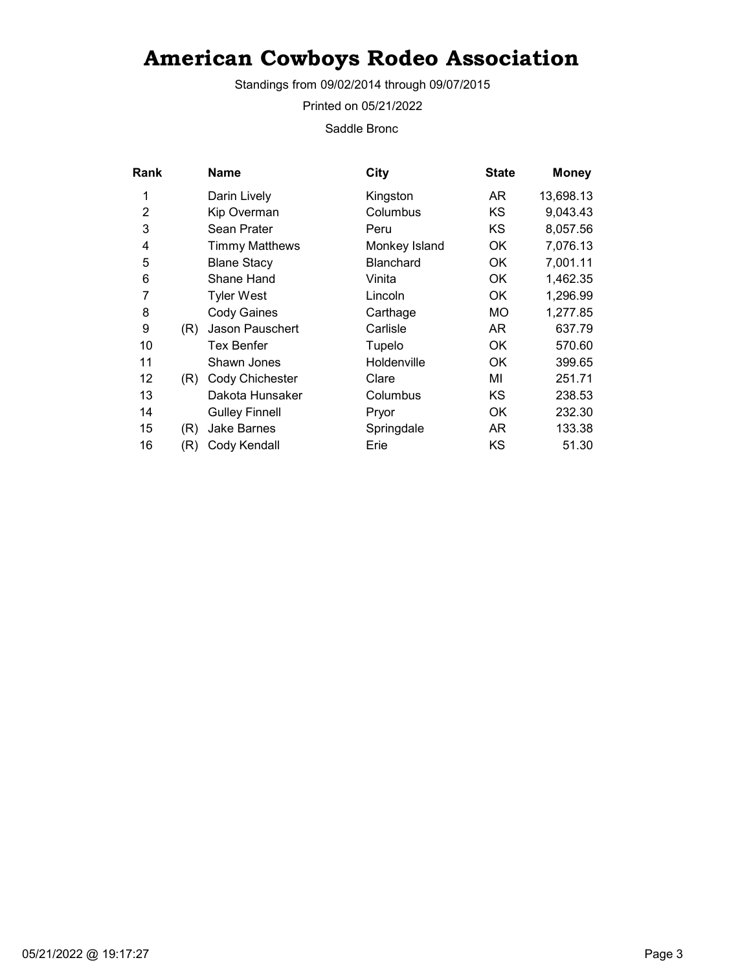Standings from 09/02/2014 through 09/07/2015

Printed on 05/21/2022

Saddle Bronc

| Rank           |     | <b>Name</b>           | City             | <b>State</b> | <b>Money</b> |
|----------------|-----|-----------------------|------------------|--------------|--------------|
| 1              |     | Darin Lively          | Kingston         | AR.          | 13,698.13    |
| $\overline{2}$ |     | Kip Overman           | Columbus         | <b>KS</b>    | 9,043.43     |
| 3              |     | Sean Prater           | Peru             | KS.          | 8,057.56     |
| 4              |     | <b>Timmy Matthews</b> | Monkey Island    | ОK           | 7,076.13     |
| 5              |     | <b>Blane Stacy</b>    | <b>Blanchard</b> | ОK           | 7,001.11     |
| 6              |     | Shane Hand            | Vinita           | ОK           | 1,462.35     |
| 7              |     | <b>Tyler West</b>     | Lincoln          | OK           | 1,296.99     |
| 8              |     | <b>Cody Gaines</b>    | Carthage         | МO           | 1,277.85     |
| 9              | (R) | Jason Pauschert       | Carlisle         | AR.          | 637.79       |
| 10             |     | Tex Benfer            | Tupelo           | OK           | 570.60       |
| 11             |     | Shawn Jones           | Holdenville      | OK           | 399.65       |
| 12             | (R) | Cody Chichester       | Clare            | ΜI           | 251.71       |
| 13             |     | Dakota Hunsaker       | Columbus         | KS           | 238.53       |
| 14             |     | <b>Gulley Finnell</b> | Pryor            | OK           | 232.30       |
| 15             | (R) | Jake Barnes           | Springdale       | AR.          | 133.38       |
| 16             | (R) | Cody Kendall          | Erie             | ΚS           | 51.30        |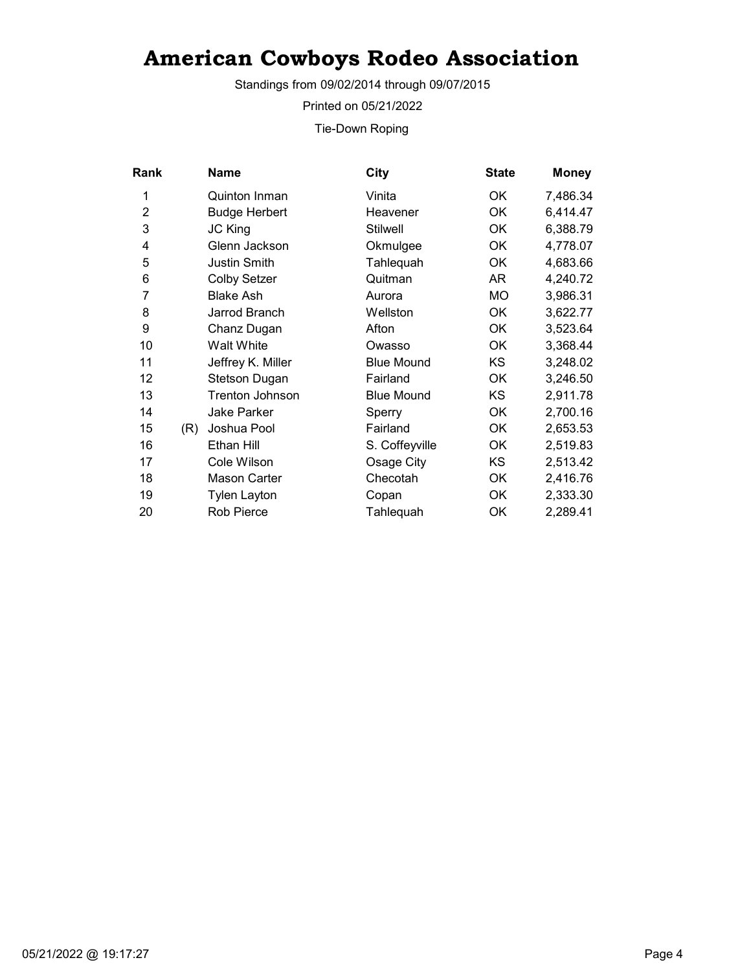Standings from 09/02/2014 through 09/07/2015

Printed on 05/21/2022

Tie-Down Roping

| Rank           |     | <b>Name</b>            | City              | <b>State</b> | <b>Money</b> |
|----------------|-----|------------------------|-------------------|--------------|--------------|
| 1              |     | <b>Quinton Inman</b>   | Vinita            | 0K           | 7,486.34     |
| $\overline{2}$ |     | <b>Budge Herbert</b>   | Heavener          | OK           | 6,414.47     |
| 3              |     | <b>JC King</b>         | <b>Stilwell</b>   | 0K           | 6,388.79     |
| 4              |     | Glenn Jackson          | Okmulgee          | OK           | 4,778.07     |
| 5              |     | <b>Justin Smith</b>    | Tahlequah         | OK           | 4,683.66     |
| 6              |     | <b>Colby Setzer</b>    | Quitman           | AR           | 4,240.72     |
| 7              |     | <b>Blake Ash</b>       | Aurora            | MO           | 3,986.31     |
| 8              |     | Jarrod Branch          | Wellston          | OK           | 3,622.77     |
| 9              |     | Chanz Dugan            | Afton             | OK           | 3,523.64     |
| 10             |     | <b>Walt White</b>      | Owasso            | 0K           | 3,368.44     |
| 11             |     | Jeffrey K. Miller      | <b>Blue Mound</b> | <b>KS</b>    | 3,248.02     |
| 12             |     | Stetson Dugan          | Fairland          | 0K           | 3,246.50     |
| 13             |     | <b>Trenton Johnson</b> | <b>Blue Mound</b> | <b>KS</b>    | 2,911.78     |
| 14             |     | <b>Jake Parker</b>     | Sperry            | OK           | 2,700.16     |
| 15             | (R) | Joshua Pool            | Fairland          | OK           | 2,653.53     |
| 16             |     | Ethan Hill             | S. Coffeyville    | OK           | 2,519.83     |
| 17             |     | Cole Wilson            | Osage City        | <b>KS</b>    | 2,513.42     |
| 18             |     | <b>Mason Carter</b>    | Checotah          | OK           | 2,416.76     |
| 19             |     | <b>Tylen Layton</b>    | Copan             | OK           | 2,333.30     |
| 20             |     | <b>Rob Pierce</b>      | Tahlequah         | OK           | 2,289.41     |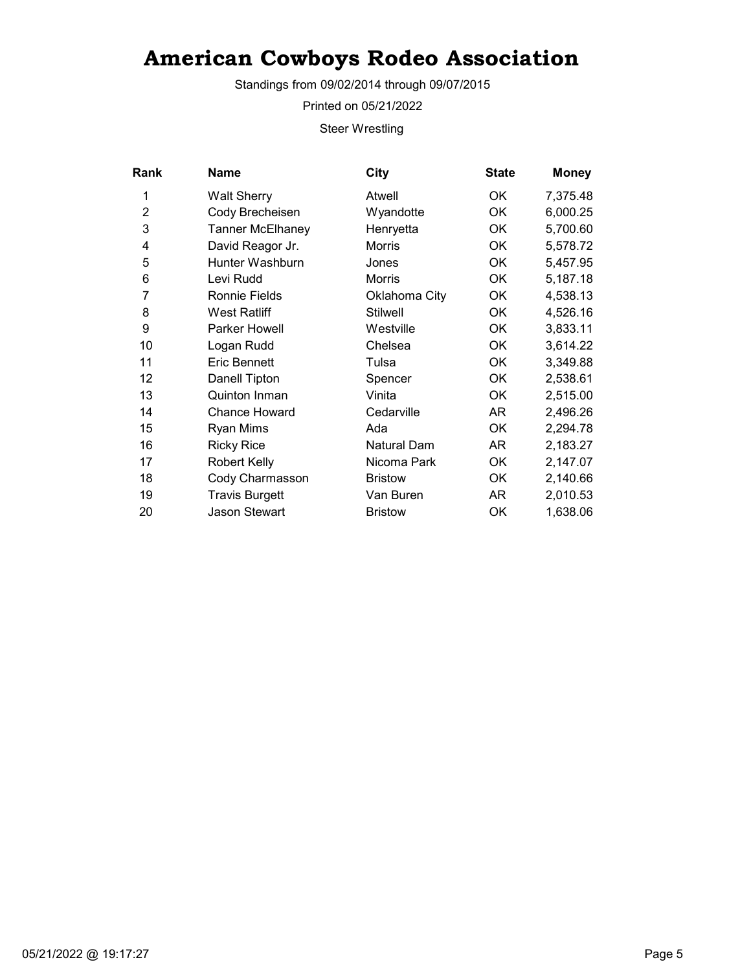Standings from 09/02/2014 through 09/07/2015

Printed on 05/21/2022

Steer Wrestling

| Rank | Name                    | City            | <b>State</b> | <b>Money</b> |
|------|-------------------------|-----------------|--------------|--------------|
| 1    | <b>Walt Sherry</b>      | Atwell          | OK           | 7,375.48     |
| 2    | Cody Brecheisen         | Wyandotte       | OK           | 6,000.25     |
| 3    | <b>Tanner McElhaney</b> | Henryetta       | OK           | 5,700.60     |
| 4    | David Reagor Jr.        | Morris          | OK           | 5,578.72     |
| 5    | Hunter Washburn         | Jones           | 0K           | 5,457.95     |
| 6    | Levi Rudd               | <b>Morris</b>   | OK           | 5,187.18     |
| 7    | <b>Ronnie Fields</b>    | Oklahoma City   | 0K           | 4,538.13     |
| 8    | <b>West Ratliff</b>     | <b>Stilwell</b> | ОK           | 4,526.16     |
| 9    | <b>Parker Howell</b>    | Westville       | 0K           | 3,833.11     |
| 10   | Logan Rudd              | Chelsea         | OK           | 3,614.22     |
| 11   | <b>Eric Bennett</b>     | Tulsa           | OK           | 3,349.88     |
| 12   | Danell Tipton           | Spencer         | 0K           | 2,538.61     |
| 13   | Quinton Inman           | Vinita          | OK           | 2,515.00     |
| 14   | <b>Chance Howard</b>    | Cedarville      | AR           | 2,496.26     |
| 15   | Ryan Mims               | Ada             | OK           | 2,294.78     |
| 16   | <b>Ricky Rice</b>       | Natural Dam     | AR           | 2,183.27     |
| 17   | <b>Robert Kelly</b>     | Nicoma Park     | OK           | 2,147.07     |
| 18   | Cody Charmasson         | <b>Bristow</b>  | OK           | 2,140.66     |
| 19   | <b>Travis Burgett</b>   | Van Buren       | AR           | 2,010.53     |
| 20   | <b>Jason Stewart</b>    | <b>Bristow</b>  | ОK           | 1,638.06     |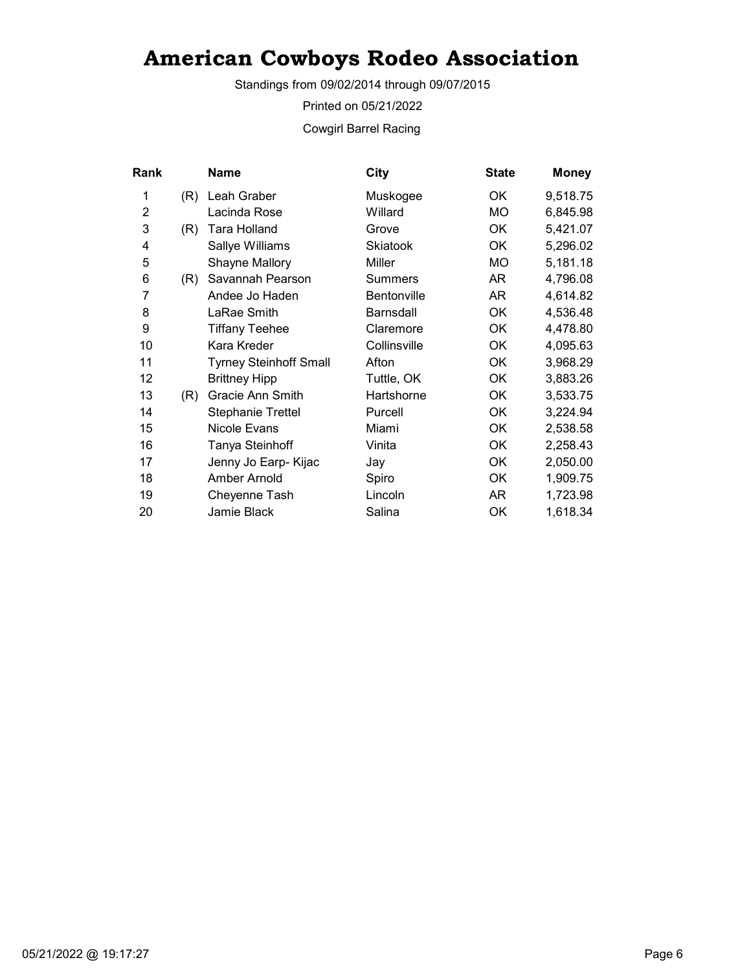Standings from 09/02/2014 through 09/07/2015

Printed on 05/21/2022

Cowgirl Barrel Racing

| Rank           |     | Name                          | <b>City</b>        | <b>State</b> | <b>Money</b> |
|----------------|-----|-------------------------------|--------------------|--------------|--------------|
| 1              | (R) | Leah Graber                   | Muskogee           | OK           | 9,518.75     |
| $\overline{2}$ |     | Lacinda Rose                  | Willard            | MO.          | 6,845.98     |
| 3              | (R) | Tara Holland                  | Grove              | OK           | 5,421.07     |
| 4              |     | Sallye Williams               | <b>Skiatook</b>    | OK           | 5,296.02     |
| 5              |     | Shayne Mallory                | Miller             | МO           | 5,181.18     |
| 6              | (R) | Savannah Pearson              | <b>Summers</b>     | AR           | 4,796.08     |
| 7              |     | Andee Jo Haden                | <b>Bentonville</b> | AR           | 4,614.82     |
| 8              |     | LaRae Smith                   | <b>Barnsdall</b>   | ОK           | 4,536.48     |
| 9              |     | <b>Tiffany Teehee</b>         | Claremore          | OK           | 4,478.80     |
| 10             |     | Kara Kreder                   | Collinsville       | OK           | 4,095.63     |
| 11             |     | <b>Tyrney Steinhoff Small</b> | Afton              | ОK           | 3,968.29     |
| 12             |     | <b>Brittney Hipp</b>          | Tuttle, OK         | <b>OK</b>    | 3,883.26     |
| 13             | (R) | Gracie Ann Smith              | Hartshorne         | OK           | 3,533.75     |
| 14             |     | <b>Stephanie Trettel</b>      | Purcell            | OK           | 3,224.94     |
| 15             |     | Nicole Evans                  | Miami              | OK           | 2,538.58     |
| 16             |     | Tanya Steinhoff               | Vinita             | OK           | 2,258.43     |
| 17             |     | Jenny Jo Earp- Kijac          | Jay                | OK           | 2,050.00     |
| 18             |     | Amber Arnold                  | Spiro              | OK           | 1,909.75     |
| 19             |     | Cheyenne Tash                 | Lincoln            | AR           | 1,723.98     |
| 20             |     | Jamie Black                   | Salina             | OK           | 1,618.34     |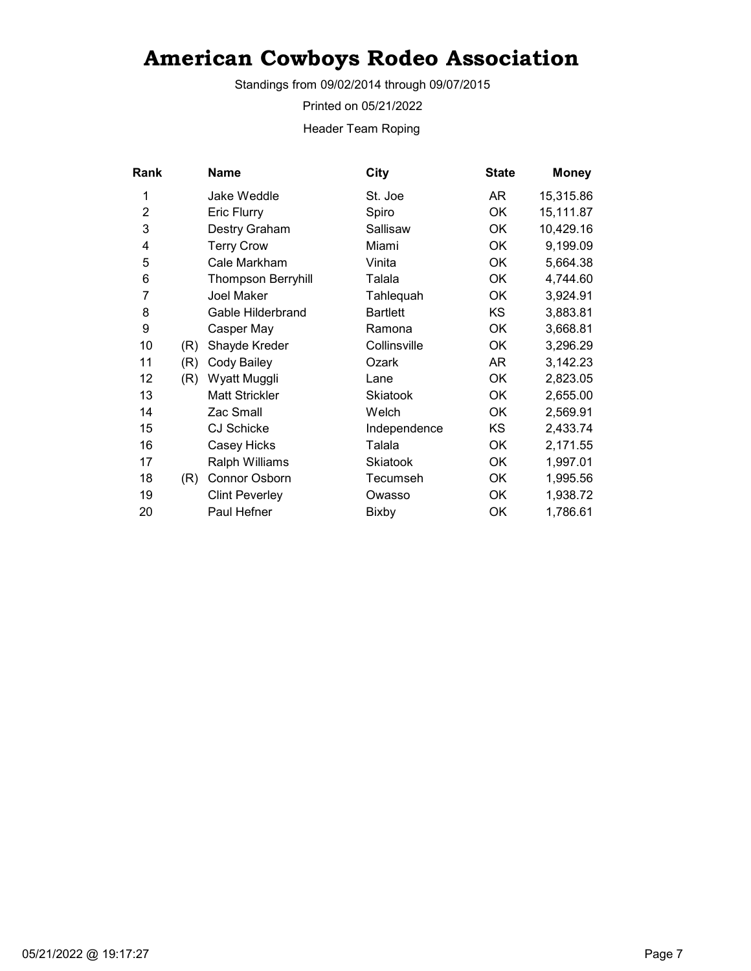Standings from 09/02/2014 through 09/07/2015

Printed on 05/21/2022

Header Team Roping

| Rank           |     | <b>Name</b>               | <b>City</b>     | <b>State</b> | <b>Money</b> |
|----------------|-----|---------------------------|-----------------|--------------|--------------|
| 1              |     | Jake Weddle               | St. Joe         | AR           | 15,315.86    |
| $\overline{2}$ |     | <b>Eric Flurry</b>        | Spiro           | <b>OK</b>    | 15,111.87    |
| 3              |     | Destry Graham             | Sallisaw        | ОK           | 10,429.16    |
| 4              |     | <b>Terry Crow</b>         | Miami           | OK           | 9,199.09     |
| 5              |     | Cale Markham              | Vinita          | <b>OK</b>    | 5,664.38     |
| 6              |     | <b>Thompson Berryhill</b> | Talala          | <b>OK</b>    | 4,744.60     |
| 7              |     | Joel Maker                | Tahlequah       | OK           | 3,924.91     |
| 8              |     | Gable Hilderbrand         | <b>Bartlett</b> | <b>KS</b>    | 3,883.81     |
| 9              |     | Casper May                | Ramona          | <b>OK</b>    | 3,668.81     |
| 10             | (R) | Shayde Kreder             | Collinsville    | ОK           | 3,296.29     |
| 11             | (R) | Cody Bailey               | Ozark           | AR           | 3,142.23     |
| 12             | (R) | Wyatt Muggli              | Lane            | ОK           | 2,823.05     |
| 13             |     | <b>Matt Strickler</b>     | <b>Skiatook</b> | <b>OK</b>    | 2,655.00     |
| 14             |     | Zac Small                 | Welch           | OK           | 2,569.91     |
| 15             |     | <b>CJ Schicke</b>         | Independence    | KS           | 2,433.74     |
| 16             |     | Casey Hicks               | Talala          | OK           | 2,171.55     |
| 17             |     | Ralph Williams            | <b>Skiatook</b> | <b>OK</b>    | 1,997.01     |
| 18             | (R) | <b>Connor Osborn</b>      | Tecumseh        | OK           | 1,995.56     |
| 19             |     | <b>Clint Peverley</b>     | Owasso          | OK           | 1,938.72     |
| 20             |     | Paul Hefner               | Bixby           | OK           | 1,786.61     |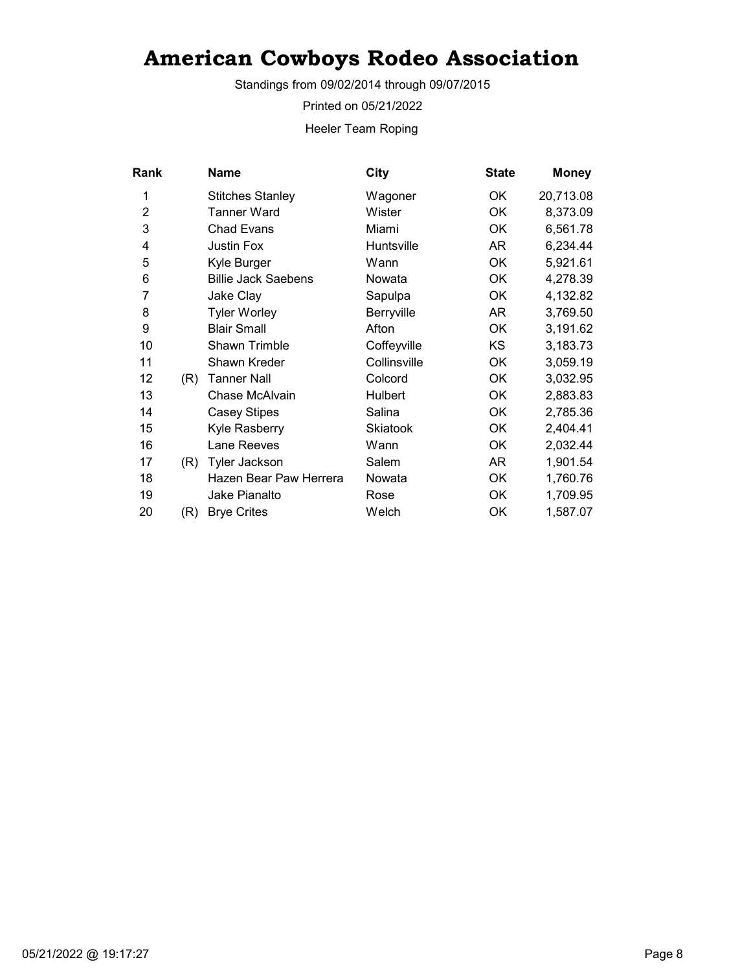Standings from 09/02/2014 through 09/07/2015

Printed on 05/21/2022

Heeler Team Roping

| <b>Rank</b>    |     | <b>Name</b>                | <b>City</b>     | <b>State</b> | <b>Money</b> |
|----------------|-----|----------------------------|-----------------|--------------|--------------|
| 1              |     | <b>Stitches Stanley</b>    | Wagoner         | OK           | 20,713.08    |
| $\overline{2}$ |     | <b>Tanner Ward</b>         | Wister          | <b>OK</b>    | 8,373.09     |
| 3              |     | <b>Chad Evans</b>          | Miami           | OK           | 6,561.78     |
| 4              |     | <b>Justin Fox</b>          | Huntsville      | AR.          | 6,234.44     |
| 5              |     | Kyle Burger                | Wann            | ОK           | 5,921.61     |
| 6              |     | <b>Billie Jack Saebens</b> | Nowata          | OK           | 4,278.39     |
| 7              |     | Jake Clay                  | Sapulpa         | OK           | 4,132.82     |
| 8              |     | <b>Tyler Worley</b>        | Berryville      | AR.          | 3,769.50     |
| 9              |     | <b>Blair Small</b>         | Afton           | OK           | 3,191.62     |
| 10             |     | Shawn Trimble              | Coffeyville     | KS.          | 3,183.73     |
| 11             |     | Shawn Kreder               | Collinsville    | OK           | 3,059.19     |
| 12             | (R) | <b>Tanner Nall</b>         | Colcord         | ОK           | 3,032.95     |
| 13             |     | Chase McAlvain             | Hulbert         | OK           | 2,883.83     |
| 14             |     | <b>Casey Stipes</b>        | Salina          | <b>OK</b>    | 2,785.36     |
| 15             |     | Kyle Rasberry              | <b>Skiatook</b> | OK           | 2,404.41     |
| 16             |     | Lane Reeves                | Wann            | OK           | 2,032.44     |
| 17             | (R) | <b>Tyler Jackson</b>       | Salem           | AR           | 1,901.54     |
| 18             |     | Hazen Bear Paw Herrera     | Nowata          | OK           | 1,760.76     |
| 19             |     | Jake Pianalto              | Rose            | OK           | 1,709.95     |
| 20             | (R) | <b>Brye Crites</b>         | Welch           | OK           | 1,587.07     |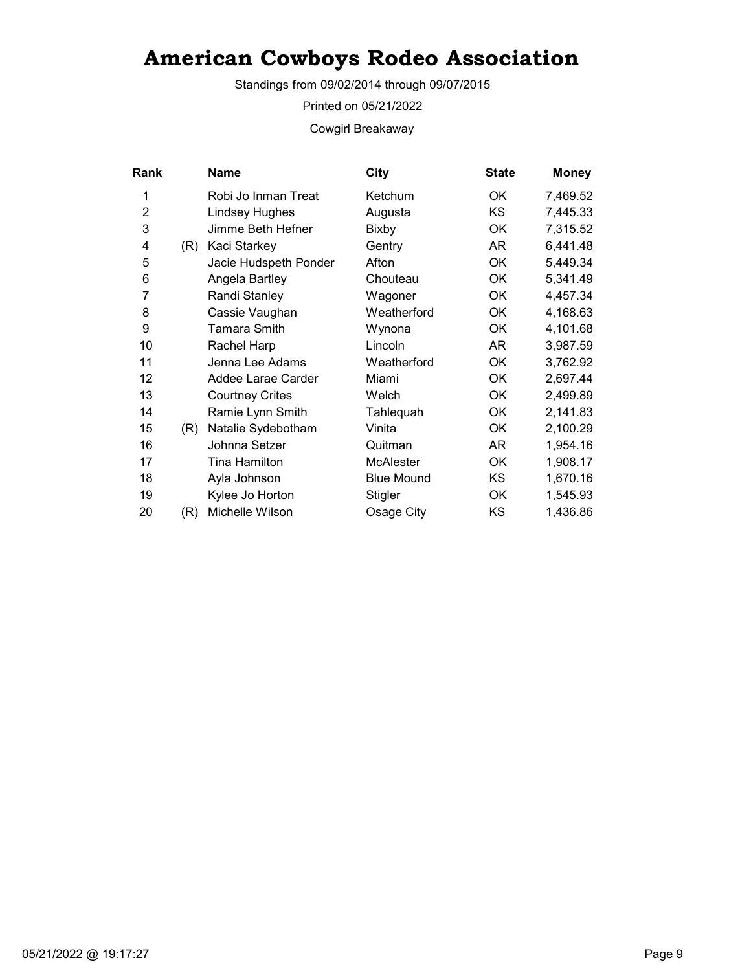Standings from 09/02/2014 through 09/07/2015

Printed on 05/21/2022

Cowgirl Breakaway

| Rank           |     | Name                   | City              | <b>State</b> | <b>Money</b> |
|----------------|-----|------------------------|-------------------|--------------|--------------|
| 1              |     | Robi Jo Inman Treat    | Ketchum           | OK           | 7,469.52     |
| $\overline{2}$ |     | <b>Lindsey Hughes</b>  | Augusta           | KS           | 7,445.33     |
| 3              |     | Jimme Beth Hefner      | Bixby             | OK           | 7,315.52     |
| 4              | (R) | Kaci Starkey           | Gentry            | AR           | 6,441.48     |
| 5              |     | Jacie Hudspeth Ponder  | Afton             | OK           | 5,449.34     |
| 6              |     | Angela Bartley         | Chouteau          | OK           | 5,341.49     |
| 7              |     | Randi Stanley          | Wagoner           | OK           | 4,457.34     |
| 8              |     | Cassie Vaughan         | Weatherford       | OK           | 4,168.63     |
| 9              |     | Tamara Smith           | Wynona            | 0K           | 4,101.68     |
| 10             |     | Rachel Harp            | Lincoln           | AR           | 3,987.59     |
| 11             |     | Jenna Lee Adams        | Weatherford       | OK           | 3,762.92     |
| 12             |     | Addee Larae Carder     | Miami             | OK           | 2,697.44     |
| 13             |     | <b>Courtney Crites</b> | Welch             | OK           | 2,499.89     |
| 14             |     | Ramie Lynn Smith       | Tahlequah         | OK           | 2,141.83     |
| 15             | (R) | Natalie Sydebotham     | Vinita            | OK           | 2,100.29     |
| 16             |     | Johnna Setzer          | Quitman           | AR           | 1,954.16     |
| 17             |     | Tina Hamilton          | <b>McAlester</b>  | OK           | 1,908.17     |
| 18             |     | Ayla Johnson           | <b>Blue Mound</b> | KS.          | 1,670.16     |
| 19             |     | Kylee Jo Horton        | Stigler           | OK           | 1,545.93     |
| 20             | (R) | Michelle Wilson        | Osage City        | KS           | 1,436.86     |